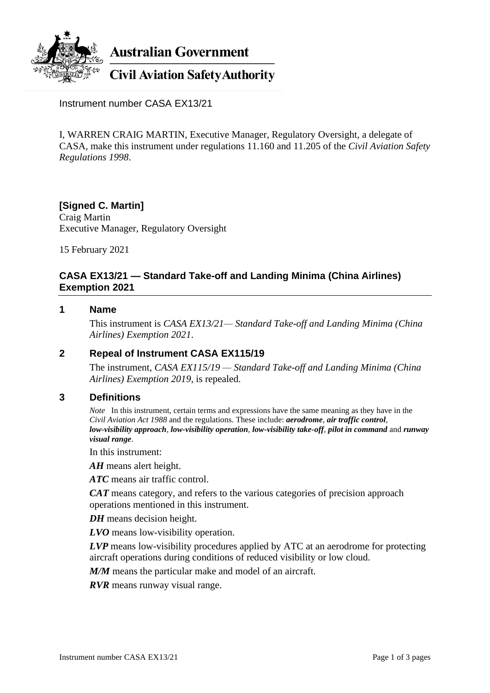

Instrument number CASA EX13/21

I, WARREN CRAIG MARTIN, Executive Manager, Regulatory Oversight, a delegate of CASA, make this instrument under regulations 11.160 and 11.205 of the *Civil Aviation Safety Regulations 1998*.

## **[Signed C. Martin]** Craig Martin Executive Manager, Regulatory Oversight

15 February 2021

# **CASA EX13/21 — Standard Take-off and Landing Minima (China Airlines) Exemption 2021**

## **1 Name**

This instrument is *CASA EX13/21— Standard Take-off and Landing Minima (China Airlines) Exemption 2021*.

## **2 Repeal of Instrument CASA EX115/19**

The instrument, *CASA EX115/19 — Standard Take-off and Landing Minima (China Airlines) Exemption 2019*, is repealed.

## **3 Definitions**

*Note* In this instrument, certain terms and expressions have the same meaning as they have in the *Civil Aviation Act 1988* and the regulations*.* These include: *aerodrome*, *air traffic control*, *low-visibility approach*, *low-visibility operation*, *low-visibility take-off*, *pilot in command* and *runway visual range*.

In this instrument:

*AH* means alert height.

*ATC* means air traffic control.

*CAT* means category, and refers to the various categories of precision approach operations mentioned in this instrument.

*DH* means decision height.

*LVO* means low-visibility operation.

*LVP* means low-visibility procedures applied by ATC at an aerodrome for protecting aircraft operations during conditions of reduced visibility or low cloud.

*M/M* means the particular make and model of an aircraft.

*RVR* means runway visual range.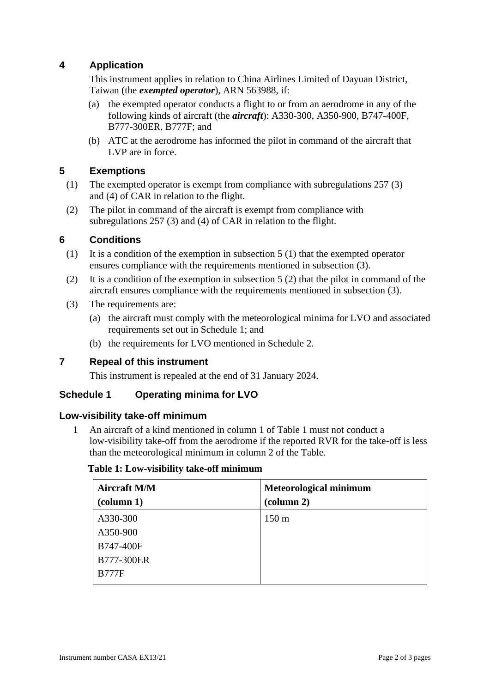# **4 Application**

This instrument applies in relation to China Airlines Limited of Dayuan District, Taiwan (the *exempted operator*), ARN 563988, if:

- (a) the exempted operator conducts a flight to or from an aerodrome in any of the following kinds of aircraft (the *aircraft*): A330-300, A350-900, B747-400F, B777-300ER, B777F; and
- (b) ATC at the aerodrome has informed the pilot in command of the aircraft that LVP are in force.

## **5 Exemptions**

- (1) The exempted operator is exempt from compliance with subregulations 257 (3) and (4) of CAR in relation to the flight.
- (2) The pilot in command of the aircraft is exempt from compliance with subregulations 257 (3) and (4) of CAR in relation to the flight.

## **6 Conditions**

- (1) It is a condition of the exemption in subsection 5 (1) that the exempted operator ensures compliance with the requirements mentioned in subsection (3).
- (2) It is a condition of the exemption in subsection 5 (2) that the pilot in command of the aircraft ensures compliance with the requirements mentioned in subsection (3).
- (3) The requirements are:
	- (a) the aircraft must comply with the meteorological minima for LVO and associated requirements set out in Schedule 1; and
	- (b) the requirements for LVO mentioned in Schedule 2.

## **7 Repeal of this instrument**

This instrument is repealed at the end of 31 January 2024.

## **Schedule 1 Operating minima for LVO**

## **Low-visibility take-off minimum**

1 An aircraft of a kind mentioned in column 1 of Table 1 must not conduct a low-visibility take-off from the aerodrome if the reported RVR for the take-off is less than the meteorological minimum in column 2 of the Table.

#### **Table 1: Low-visibility take-off minimum**

| <b>Aircraft M/M</b><br><b>Meteorological minimum</b> |                  |
|------------------------------------------------------|------------------|
| $\left(\text{column } 1\right)$                      | (column 2)       |
| A330-300                                             | 150 <sub>m</sub> |
| A350-900                                             |                  |
| B747-400F                                            |                  |
| B777-300ER                                           |                  |
| <b>B777F</b>                                         |                  |